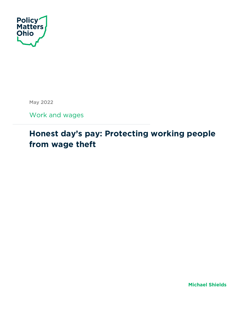

May 2022

Work and wages

# **Honest day's pay: Protecting working people from wage theft**

**Michael Shields**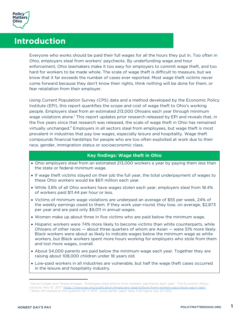

# **Introduction**

Everyone who works should be paid their full wages for all the hours they put in. Too often in Ohio, employers steal from workers' paychecks. By underfunding wage and hour enforcement, Ohio lawmakers make it too easy for employers to commit wage theft, and too hard for workers to be made whole. The scale of wage theft is difficult to measure, but we know that it far exceeds the number of cases ever reported. Most wage theft victims never come forward because they don't know their rights, think nothing will be done for them, or fear retaliation from their employer.

Using Current Population Survey (CPS) data and a method developed by the Economic Policy Institute (EPI), this report quantifies the scope and cost of wage theft to Ohio's working people. Employers steal from an estimated 213,000 Ohioans each year through minimum wage violations alone.<sup>1</sup> This report updates prior research released by EPI and reveals that, in the five years since that research was released, the scale of wage theft in Ohio has remained virtually unchanged.<sup>2</sup> Employers in all sectors steal from employees, but wage theft is most prevalent in industries that pay low wages, especially leisure and hospitality. Wage theft compounds financial hardships for people who are too often exploited at work due to their race, gender, immigration status or socioeconomic class.

#### **Key findings: Wage theft in Ohio**

- Ohio employers steal from an estimated 213,000 workers a year by paying them less than the state or federal minimum wage.
- If wage theft victims stayed on their job the full year, the total underpayment of wages to these Ohio workers would be \$611 million each year.
- While 3.8% of all Ohio workers have wages stolen each year, employers steal from 18.4% of workers paid \$11.44 per hour or less.
- Victims of minimum wage violations are underpaid an average of \$55 per week, 24% of the weekly earnings owed to them. If they work year-round, they lose, on average, \$2,873 per year and are paid only \$9,011 in annual wages.
- Women make up about three in five victims who are paid below the minimum wage.
- Hispanic workers were 74% more likely to become victims than white counterparts, while Ohioans of other races — about three quarters of whom are Asian — were 51% more likely. Black workers were about as likely to indicate wages below the minimum wage as white workers, but Black workers spent more hours working for employers who stole from them and lost more wages, overall.
- About 54,000 parents are paid below the minimum wage each year. Together they are raising about 108,000 children under 18 years old.
- Low-paid workers in all industries are vulnerable, but half the wage theft cases occurred in the leisure and hospitality industry.

<sup>1</sup> David Cooper and Teresa Kroeger, "Employers steal billions from workers' paychecks each year," The Economic Policy Institute, May 10, 2017, <u>https://www.epi.org/publication/employers-steal-billions-from-workers-paychecks-each-year/.</u><br><sup>2</sup> When EPI looked at this question for in 2017, using earlier years' data, that figure was 217,000.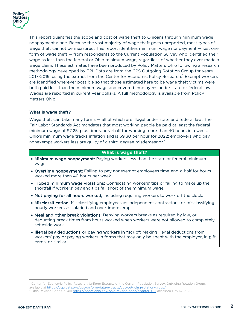

This report quantifies the scope and cost of wage theft to Ohioans through minimum wage nonpayment alone. Because the vast majority of wage theft goes unreported, most types of wage theft cannot be measured. This report identifies minimum wage nonpayment — just one form of wage theft — from respondents to the Current Population Survey who identified their wage as less than the federal or Ohio minimum wage, regardless of whether they ever made a wage claim. These estimates have been produced by Policy Matters Ohio following a research methodology developed by EPI. Data are from the CPS Outgoing Rotation Group for years 2017-2019, using the extract from the Center for Economic Policy Research.<sup>3</sup> Exempt workers are identified wherever possible so that those estimated here to be wage theft victims were both paid less than the minimum wage and covered employees under state or federal law. Wages are reported in current year dollars. A full methodology is available from Policy Matters Ohio.

#### **What is wage theft?**

Wage theft can take many forms — all of which are illegal under state and federal law. The Fair Labor Standards Act mandates that most working people be paid at least the federal minimum wage of \$7.25, plus time-and-a-half for working more than 40 hours in a week. Ohio's minimum wage tracks inflation and is \$9.30 per hour for 2022; employers who pay nonexempt workers less are guilty of a third-degree misdemeanor.<sup>4</sup>

#### **What is wage theft?**

- Minimum wage nonpayment: Paying workers less than the state or federal minimum wage.
- Overtime nonpayment: Failing to pay nonexempt employees time-and-a-half for hours worked more than 40 hours per week.
- Tipped minimum wage violations: Confiscating workers' tips or failing to make up the shortfall if workers' pay and tips fall short of the minimum wage.
- Not paying for all hours worked, including requiring workers to work off the clock.
- Misclassification: Misclassifying employees as independent contractors; or misclassifying hourly workers as salaried and overtime-exempt.
- Meal and other break violations: Denying workers breaks as required by law, or deducting break times from hours worked when workers were not allowed to completely set aside work.
- Illegal pay deductions or paying workers in "scrip": Making illegal deductions from workers' pay or paying workers in forms that may only be spent with the employer, in gift cards, or similar.

<sup>&</sup>lt;sup>3</sup> Center for Economic Policy Research, Uniform Extracts of the Current Population Survey, Outgoing Rotation Group,

available at <u>https://ceprdata.org/cps-uniform-data-extracts/cps-outgoing-rotation-group/.</u><br><sup>4</sup> Ohio Revised Code Ch. 4111 <u>https://codes.ohio.gov/ohio-revised-code/chapter-4111</u>, accessed May 13, 2022.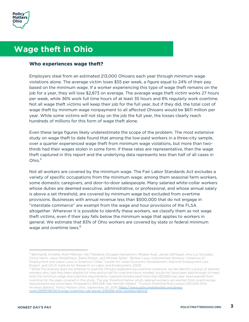

# **Wage theft in Ohio**

#### **Who experiences wage theft?**

Employers steal from an estimated 213,000 Ohioans each year through minimum wage violations alone. The average victim loses \$55 per week, a figure equal to 24% of their pay based on the minimum wage. If a worker experiencing this type of wage theft remains on the job for a year, they will lose \$2,873 on average. The average wage theft victim works 27 hours per week, while 36% work full time hours of at least 35 hours and 8% regularly work overtime. Not all wage theft victims will keep their job for the full year, but if they did, the total cost of wage theft by minimum wage nonpayment to all affected Ohioans would be \$611 million per year. While some victims will not stay on the job the full year, the losses clearly reach hundreds of millions for this form of wage theft alone.

Even these large figures likely underestimate the scope of the problem. The most extensive study on wage theft to date found that among the low-paid workers in a three-city sample, over a quarter experienced wage theft from minimum wage violations, but more than twothirds had their wages stolen in some form. If these rates are representative, then the wage theft captured in this report and the underlying data represents less than half of all cases in Ohio. $5$ 

Not all workers are covered by the minimum wage. The Fair Labor Standards Act excludes a variety of specific occupations from the minimum wage: among them seasonal farm workers, some domestic caregivers, and door-to-door salespeople. Many salaried white-collar workers whose duties are deemed executive, administrative, or professional, and whose annual salary is above a set threshold, are covered by minimum wage but excluded from overtime provisions. Businesses with annual revenue less than \$500,000 that do not engage in "interstate commerce" are exempt from the wage and hour provisions of the FLSA altogether. Wherever it is possible to identify these workers, we classify them as not wage theft victims, even if their pay falls below the minimum wage that applies to workers in general. We estimate that 83% of Ohio workers are covered by state or federal minimum wage and overtime laws.<sup>6</sup>

<sup>&</sup>lt;sup>5</sup> Bernhardt, Annette, Ruth Milkman, Nik Theodore, Douglas Heckathorn, Mirabai Auer, James DeFilippis, Ana Luz Gonzalez, Victor Narro, Jason Perelshteyn, Diana Polson, and Michael Spiller. "Broken Laws, Unprotected Workers: Violations of Employment and Labor Laws in America's Cities." Center for Urban Economic Development, National Employment Law<br>Project, and UCLA Institute for Research on Labor and Employment, 2009.

 $6$  While this analysis does not attempt to quantify Ohioans experiencing overtime violations, we did identify a group of salaried workers who, had they been eligible for time-and-a-half for overtime hours worked, would not have been paid enough to meet both the minimum wage and overtime requirements. Salaried workers paid more than \$23,660 per year were exempt from overtime for the years covered in this study. The pay threshold below which salaried workers are exempt from overtime pay requirements has since been increased to \$35,568. See Hannah Halbert, "Trump's Overtime Rule Leaves 230,000 Ohio Workers Behind," Policy Matters Ohio, September 24, 2019, https://www.policymattersohio.org/pressroom/2019/09/24/trumps-overtime-rule-leaves-230000-ohio-workers-behind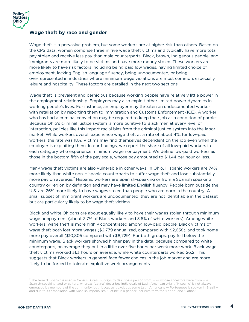

#### **Wage theft by race and gender**

Wage theft is a pervasive problem, but some workers are at higher risk than others. Based on the CPS data, women comprise three in five wage theft victims and typically have more total pay stolen and receive less pay than male counterparts. Black, brown, Indigenous people, and immigrants are more likely to be victims and have more money stolen. These workers are more likely to have risk factors including being paid low wages, having limited choice of employment, lacking English language fluency, being undocumented, or being overrepresented in industries where minimum wage violations are most common, especially leisure and hospitality. These factors are detailed in the next two sections.

Wage theft is prevalent and pernicious because working people have relatively little power in the employment relationship. Employers may also exploit other limited power dynamics in working people's lives. For instance, an employer may threaten an undocumented worker with retaliation by reporting them to Immigration and Customs Enforcement (ICE). A worker who has had a criminal conviction may be required to keep their job as a condition of parole: Because Ohio's criminal justice system is more punitive to Black men at every level of interaction, policies like this import racial bias from the criminal justice system into the labor market. While workers overall experience wage theft at a rate of about 4%, for low-paid workers, the rate was 18%. Victims may find themselves dependent on the job even when the employer is exploiting them. In our findings, we report the share of all low-paid workers in each category who experience minimum wage nonpayment. We define low-paid workers as those in the bottom fifth of the pay scale, whose pay amounted to \$11.44 per hour or less.

Many wage theft victims are also vulnerable in other ways. In Ohio, Hispanic workers are 74% more likely than white non-Hispanic counterparts to suffer wage theft and lose substantially more pay on average.<sup>7</sup> Hispanic workers are Spanish-speaking or from a Spanish speaking country or region by definition and may have limited English fluency. People born outside the U.S. are 26% more likely to have wages stolen than people who are born in the country. A small subset of immigrant workers are undocumented; they are not identifiable in the dataset but are particularly likely to be wage theft victims.

Black and white Ohioans are about equally likely to have their wages stolen through minimum wage nonpayment (about 3.7% of Black workers and 3.6% of white workers). Among white workers, wage theft is more highly concentrated among low-paid people. Black victims of wage theft both lost more wages (\$2,779 annualized, compared with \$2,658), and took home more pay overall (\$10,805 compared with \$8,729). For both groups, pay fell below the minimum wage. Black workers showed higher pay in the data, because compared to white counterparts, on average they put in a little over five hours per week more work. Black wage theft victims worked 31.3 hours on average, while white counterparts worked 26.2. This suggests that Black workers in general face fewer choices in the job market and are more likely to be forced to tolerate exploitive work arrangements.

 $^7$  The term "Hispanic" is used in Census Bureau surveys to describe a person from  $-$  or whose ancestors were from  $-$  a Spanish-speaking land or culture, whereas "Latinx" describes individuals of Latin American origin. "Hispanic" is not always embraced by members of the community, both because it excludes some Latin Americans - Portuguese is spoken in Brazil and due to its association with Spanish imperialism. "Latinx" is a gender-inclusive term for "Latino" and "Latina."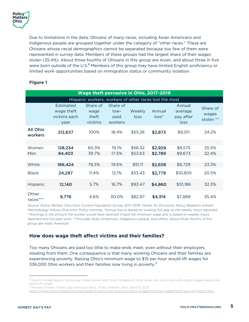Due to limitations in the data, Ohioans of many races, including Asian Americans and Indigenous people are grouped together under the category of "other races." These are Ohioans whose racial demographics cannot be separated because too few of them were represented in survey data. Members of these groups had the largest share of their wages stolen (35.4%). About three-fourths of Ohioans in this group are Asian, and about three in five were born outside of the U.S.<sup>8</sup> Members of this group may have limited English proficiency or limited work opportunities based on immigration status or community isolation.

| Wage theft pervasive in Ohio, 2017-2019                |                                                 |                                      |                                       |                |                   |                                        |                                |  |
|--------------------------------------------------------|-------------------------------------------------|--------------------------------------|---------------------------------------|----------------|-------------------|----------------------------------------|--------------------------------|--|
| Hispanic workers, workers of other races lost the most |                                                 |                                      |                                       |                |                   |                                        |                                |  |
|                                                        | Estimated<br>wage theft<br>victims each<br>year | Share of<br>wage<br>theft<br>victims | Share of<br>$low-$<br>paid<br>workers | Weekly<br>loss | Annual<br>$loss*$ | Annual<br>average<br>pay after<br>loss | Share of<br>wages<br>stolen ** |  |
| All Ohio<br>workers                                    | 212,637                                         | 100%                                 | 18.4%                                 | \$55.26        | \$2,873           | \$9,011                                | 24.2%                          |  |
|                                                        |                                                 |                                      |                                       |                |                   |                                        |                                |  |
| Women                                                  | 128,234                                         | 60.3%                                | 19.1%                                 | \$56.32        | \$2,929           | \$8,575                                | 25.5%                          |  |
| Men                                                    | 84,403                                          | 39.7%                                | 17.5%                                 | \$53.63        | \$2,789           | \$9,673                                | 22.4%                          |  |
|                                                        |                                                 |                                      |                                       |                |                   |                                        |                                |  |
| White                                                  | 166,424                                         | 78.3%                                | 19.6%                                 | \$51.11        | \$2,658           | \$8,729                                | 23.3%                          |  |
| <b>Black</b>                                           | 24,297                                          | 11.4%                                | 12.1%                                 | \$53.43        | \$2,779           | \$10,805                               | 20.5%                          |  |
| Hispanic                                               | 12,140                                          | 5.7%                                 | 16.7%                                 | \$93.47        | \$4,860           | \$10,186                               | 32.3%                          |  |
| Other<br>$races***$                                    | 9,776                                           | 4.6%                                 | 30.0%                                 | \$82.97        | \$4,314           | \$7,889                                | 35.4%                          |  |

### **Figure 1**

*Source: Policy Matters Ohio from Current Population Survey 2017-2019. Center for Economic Policy Research extract. Methodology follows Economic Policy Institute. \*Annual loss is based on working full year at the weekly hours reported. \*\*Earnings is the amount the worker would have received if paid the minimum wage and is based on weekly hours reported and full-year work. \*\*\*Includes Asian Americans, Indigenous people, and others. About three fourths of this group are Asian American.*

## **How does wage theft affect victims and their families?**

Too many Ohioans are paid too little to make ends meet, even without their employers stealing from them. One consequence is that many working Ohioans and their families are experiencing poverty. Raising Ohio's minimum wage to \$15 per hour would lift wages for 336,000 Ohio workers and their families now living in poverty.<sup>9</sup>

<sup>&</sup>lt;sup>8</sup> Due to limited data in the survey, these shares refer to all Ohioans of other races, not only those who report wages below the minimum wage.

<sup>9</sup> Michael Shields, "Fairer pay will boost Ohio," Policy Matters Ohio, April 13, 2021,

https://www.policymattersohio.org/research-policy/fair-economy/work-wages/minimum-wage/fairer-pay-will-boost-ohio.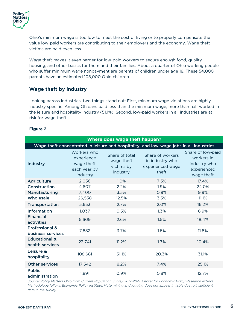Ohio's minimum wage is too low to meet the cost of living or to properly compensate the value low-paid workers are contributing to their employers and the economy. Wage theft victims are paid even less.

Wage theft makes it even harder for low-paid workers to secure enough food, quality housing, and other basics for them and their families. About a quarter of Ohio working people who suffer minimum wage nonpayment are parents of children under age 18. These 54,000 parents have an estimated 108,000 Ohio children.

## **Wage theft by industry**

Looking across industries, two things stand out: First, minimum wage violations are highly industry specific. Among Ohioans paid less than the minimum wage, more than half worked in the leisure and hospitality industry (51.1%). Second, low-paid workers in all industries are at risk for wage theft.

#### **Figure 2**

| Where does wage theft happen?                                                           |                                                                     |                                                        |                                                                  |                                                                              |  |  |  |  |  |
|-----------------------------------------------------------------------------------------|---------------------------------------------------------------------|--------------------------------------------------------|------------------------------------------------------------------|------------------------------------------------------------------------------|--|--|--|--|--|
| Wage theft concentrated in leisure and hospitality, and low-wage jobs in all industries |                                                                     |                                                        |                                                                  |                                                                              |  |  |  |  |  |
| Industry                                                                                | Workers who<br>experience<br>wage theft<br>each year by<br>industry | Share of total<br>wage theft<br>victims by<br>industry | Share of workers<br>in industry who<br>experienced wage<br>theft | Share of low-paid<br>workers in<br>industry who<br>experienced<br>wage theft |  |  |  |  |  |
| <b>Agriculture</b>                                                                      | 2,056                                                               | 1.0%                                                   | 7.3%                                                             | 17.4%                                                                        |  |  |  |  |  |
| Construction                                                                            | 4,607                                                               | 2.2%                                                   | 1.9%                                                             | 24.0%                                                                        |  |  |  |  |  |
| Manufacturing                                                                           | 7,400                                                               | 3.5%                                                   | 0.8%                                                             | 9.9%                                                                         |  |  |  |  |  |
| Wholesale                                                                               | 26,538                                                              | 12.5%                                                  | 3.5%                                                             | 11.1%                                                                        |  |  |  |  |  |
| Transportation                                                                          | 5,653                                                               | 2.7%                                                   | 2.0%                                                             | 16.2%                                                                        |  |  |  |  |  |
| Information                                                                             | 1,037                                                               | 0.5%                                                   | 1.3%                                                             | 6.9%                                                                         |  |  |  |  |  |
| <b>Financial</b><br>activities                                                          | 5,609                                                               | 2.6%                                                   | 1.5%                                                             | 18.4%                                                                        |  |  |  |  |  |
| Professional &<br>business services                                                     | 7,882                                                               | 3.7%                                                   | 1.5%                                                             | 11.8%                                                                        |  |  |  |  |  |
| <b>Educational &amp;</b><br>health services                                             | 23,741                                                              | 11.2%                                                  | 1.7%                                                             | 10.4%                                                                        |  |  |  |  |  |
| Leisure &<br>hospitality                                                                | 108,681                                                             | 51.1%                                                  | 20.3%                                                            | 31.1%                                                                        |  |  |  |  |  |
| <b>Other services</b>                                                                   | 17,542                                                              | 8.2%                                                   | 7.4%                                                             | 25.1%                                                                        |  |  |  |  |  |
| <b>Public</b><br>administration                                                         | 1,891                                                               | 0.9%                                                   | 0.8%                                                             | 12.7%                                                                        |  |  |  |  |  |

*Source: Policy Matters Ohio from Current Population Survey 2017-2019. Center for Economic Policy Research extract. Methodology follows Economic Policy Institute. Note mining and logging does not appear in table due to insufficient data in the survey.*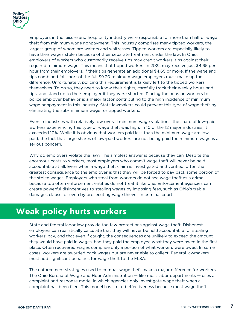

Employers in the leisure and hospitality industry were responsible for more than half of wage theft from minimum wage nonpayment. This industry comprises many tipped workers, the largest group of whom are waiters and waitresses. Tipped workers are especially likely to have their wages stolen because of their separate treatment under the law. In Ohio, employers of workers who customarily receive tips may credit workers' tips against their required minimum wage. This means that tipped workers in 2022 may receive just \$4.65 per hour from their employers, if their tips generate an additional \$4.65 or more. If the wage and tips combined fall short of the full \$9.30 minimum wage employers must make up the difference. Unfortunately, policing this requirement is largely left to the tipped workers themselves. To do so, they need to know their rights, carefully track their weekly hours and tips, and stand up to their employer if they were shorted. Placing the onus on workers to police employer behavior is a major factor contributing to the high incidence of minimum wage nonpayment in this industry. State lawmakers could prevent this type of wage theft by eliminating the sub-minimum wage for tipped workers.

Even in industries with relatively low overall minimum wage violations, the share of low-paid workers experiencing this type of wage theft was high. In 10 of the 12 major industries, it exceeded 10%. While it is obvious that workers paid less than the minimum wage are lowpaid, the fact that large shares of low-paid workers are not being paid the minimum wage is a serious concern.

Why do employers violate the law? The simplest answer is because they can. Despite the enormous costs to workers, most employers who commit wage theft will never be held accountable at all. Even when a wage theft claim is investigated and verified, often the greatest consequence to the employer is that they will be forced to pay back some portion of the stolen wages. Employers who steal from workers do not see wage theft as a crime because too often enforcement entities do not treat it like one. Enforcement agencies can create powerful disincentives to stealing wages by imposing fees, such as Ohio's treble damages clause, or even by prosecuting wage thieves in criminal court.

# **Weak policy hurts workers**

State and federal labor law provide too few protections against wage theft. Dishonest employers can realistically calculate that they will never be held accountable for stealing workers' pay, and that even if caught, the consequences are unlikely to exceed the amount they would have paid in wages, had they paid the employee what they were owed in the first place. Often recovered wages comprise only a portion of what workers were owed. In some cases, workers are awarded back wages but are never able to collect. Federal lawmakers must add significant penalties for wage theft to the FLSA.

The enforcement strategies used to combat wage theft make a major difference for workers. The Ohio Bureau of Wage and Hour Administration — like most labor departments — uses a complaint and response model in which agencies only investigate wage theft when a complaint has been filed. This model has limited effectiveness because most wage theft

I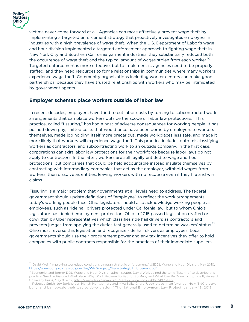

victims never come forward at all. Agencies can more effectively prevent wage theft by implementing a targeted enforcement strategy that proactively investigates employers in industries with a high prevalence of wage theft. When the U.S. Department of Labor's wage and hour division implemented a targeted enforcement approach to fighting wage theft in New York City and Southern California garment industries, they substantially reduced both the occurrence of wage theft and the typical amount of wages stolen from each worker.<sup>10</sup> Targeted enforcement is more effective, but to implement it, agencies need to be properly staffed, and they need resources to forge relationships in communities where many workers experience wage theft. Community organizations including worker centers can make good partnerships, because they have trusted relationships with workers who may be intimidated by government agents.

## **Employer schemes place workers outside of labor law**

In recent decades, employers have tried to cut labor costs by turning to subcontracted work arrangements that can place workers outside the scope of labor law protections.<sup>11</sup> This practice, called "fissuring," has had a host of adverse consequences for working people. It has pushed down pay, shifted costs that would once have been borne by employers to workers themselves, made job holding itself more precarious, made workplaces less safe, and made it more likely that workers will experience wage theft. This practice includes both misclassifying workers as contractors, and subcontracting work to an outside company. In the first case, corporations can skirt labor law protections for their workforce because labor laws do not apply to contractors. In the latter, workers are still legally entitled to wage and hour protections, but companies that could be held accountable instead insulate themselves by contracting with intermediary companies that act as the employer, withhold wages from workers, then dissolve as entities, leaving workers with no recourse even if they file and win claims.

Fissuring is a major problem that governments at all levels need to address. The federal government should update definitions of "employee" to reflect the work arrangements today's working people face. Ohio legislators should also acknowledge working people as employees, such as ride hail drivers protected under California law, but to whom Ohio's legislature has denied employment protection. Ohio in 2015 passed legislation drafted or cowritten by Uber representatives which classifies ride hail drivers as contractors and prevents judges from applying the duties test generally used to determine workers' status.<sup>12</sup> Ohio must reverse this legislation and recognize ride hail drivers as employees. Local governments should use their procurement power and any tax incentives they offer to hold companies with public contracts responsible for the practices of their immediate suppliers.

<sup>&</sup>lt;sup>10</sup> David Weil, "Improving workplace conditions through strategic enforcement," USDOL Wage and Hour Division, May 2010, https://www.dol.gov/sites/dolgov/files/WHD/legacy/files/strategicEnforcement.pdf.

<sup>&</sup>lt;sup>11</sup> Economist and former DOL Wage and Hour Division administrator, David Weil, coined the term "fissuring" to describe this practice. See The Fissured Workplace: Why Work Became So Bad for So Many and What Can Be Done to Improve It, Harvard

University Press, May 8, 2017, <u>https://www.hup.harvard.edu/catalog.php?isbn=9780674975446.</u><br><sup>12</sup> Rebecca Smith, Joy Borkholder, Mariah Montgomery and Miya Saika Chen, "Uber state interference: How TNC's buy, bully, and bamboozle their way to deregulation," The National Employment Law Project, January 18, 2018.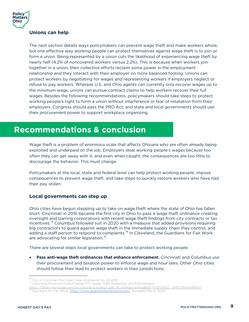

### **Unions can help**

The next section details ways policymakers can prevent wage theft and make workers whole, but one effective way working people can protect themselves against wage theft is to join or form a union. Being represented by a union cuts the likelihood of experiencing wage theft by nearly half (4.2% of noncovered workers versus 2.2%). This is because when workers join together in a union, their collective efforts reclaim some power in the employment relationship and they interact with their employer on more balanced footing. Unions can protect workers by negotiating for wages and representing workers if employers neglect or refuse to pay workers. Whereas U.S. and Ohio agents can currently only recover wages up to the minimum wage, unions can pursue contract claims to help workers recover their full wages. Besides the following recommendations, policymakers should take steps to protect working people's right to form a union without interference or fear of retaliation from their employers. Congress should pass the PRO Act, and state and local governments should use their procurement power to support workplace organizing.

# **Recommendations & conclusion**

Wage theft is a problem of enormous scale that affects Ohioans who are often already being exploited and underpaid on the job. Employers steal working people's wages because too often they can get away with it, and even when caught, the consequences are too little to discourage the behavior. This must change.

Policymakers at the local, state and federal level can help protect working people, impose consequences to prevent wage theft, and take steps to quickly restore workers who have had their pay stolen.

#### **Local governments can step up**

Ohio cities have begun stepping up to take on wage theft where the state of Ohio has fallen short. Cincinnati in 2016 became the first city in Ohio to pass a wage theft ordinance creating oversight and barring corporations with recent wage theft findings from city contracts or tax incentives.<sup>13</sup> Columbus followed suit in 2020 with a measure that added provisions requiring big contractors to guard against wage theft in the immediate supply chain they control, and adding a staff person to respond to complaints.<sup>14</sup> In Cleveland, the Guardians for Fair Work are advocating for similar legislation.<sup>15</sup>

There are several steps local governments can take to protect working people:

• **Pass anti-wage theft ordinances that enhance enforcement.** Cincinnati and Columbus use their procurement and taxation power to enforce wage and hour laws. Other Ohio cities should follow their lead to protect workers in their jurisdictions.

<sup>&</sup>lt;sup>13</sup> City of Cincinnati Municipal Code, Ordinance No. 22-2016.<br><sup>14</sup> Columbus Municipal Code Chapter 377, Wage Theft Prevention and Enforcement,

https://library.municode.com/oh/columbus/codes/code\_of\_ordinances?nodeId=TIT3FITACO\_CH377WATHPREN 15 Guardians for Fair Work, https://www.guardiansforfairwork.com/, accessed May 6, 2022.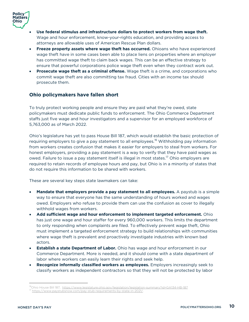

- **Use federal stimulus and infrastructure dollars to protect workers from wage theft.**  Wage and hour enforcement, know-your-rights education, and providing access to attorneys are allowable uses of American Rescue Plan dollars.
- **Freeze property assets where wage theft has occurred.** Ohioans who have experienced wage theft have in some cases been able to place liens on properties where an employer has committed wage theft to claim back wages. This can be an effective strategy to ensure that powerful corporations police wage theft even when they contract work out.
- **Prosecute wage theft as a criminal offense.** Wage theft is a crime, and corporations who commit wage theft are also committing tax fraud. Cities with an income tax should prosecute them.

### **Ohio policymakers have fallen short**

To truly protect working people and ensure they are paid what they're owed, state policymakers must dedicate public funds to enforcement. The Ohio Commerce Department staffs just five wage and hour investigators and a supervisor for an employed workforce of 5,763,000 as of March 2022.

Ohio's legislature has yet to pass House Bill 187, which would establish the basic protection of requiring employers to give a pay statement to all employees.<sup>16</sup> Withholding pay information from workers creates confusion that makes it easier for employers to steal from workers. For honest employers, providing a pay statement is a way to verify that they have paid wages as owed. Failure to issue a pay statement itself is illegal in most states.<sup>17</sup> Ohio employers are required to retain records of employee hours and pay, but Ohio is in a minority of states that do not require this information to be shared with workers.

These are several key steps state lawmakers can take:

- **Mandate that employers provide a pay statement to all employees.** A paystub is a simple way to ensure that everyone has the same understanding of hours worked and wages owed. Employers who refuse to provide them can use the confusion as cover to illegally withhold wages from workers.
- **Add sufficient wage and hour enforcement to implement targeted enforcement.** Ohio has just one wage and hour staffer for every 960,000 workers. This limits the department to only responding when complaints are filed. To effectively prevent wage theft, Ohio must implement a targeted enforcement strategy to build relationships with communities where wage theft is prevalent and proactively investigate industries with known bad actors.
- **Establish a state Department of Labor.** Ohio has wage and hour enforcement in our Commerce Department. More is needed, and it should come with a state department of labor where workers can easily learn their rights and seek help.
- **Recognize informally classified workers as employees.** Employers increasingly seek to classify workers as independent contractors so that they will not be protected by labor

<sup>&</sup>lt;sup>16</sup>Ohio House Bill 187, <u>https://www.legislature.ohio.gov/legislation/legislation-summary?id=GA134-HB-187</u><br><sup>17</sup> http<u>s://www.paystubsnow.com/pay-stub-requirements-by-state-in-2021/</u>.